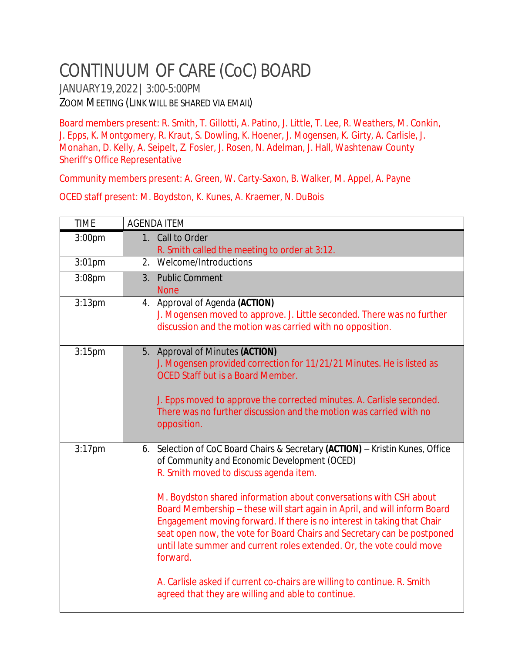## CONTINUUM OF CARE (CoC) BOARD

JANUARY19,2022| 3:00-5:00PM ZOOM MEETING (LINK WILL BE SHARED VIA EMAIL)

Board members present: R. Smith, T. Gillotti, A. Patino, J. Little, T. Lee, R. Weathers, M. Conkin, J. Epps, K. Montgomery, R. Kraut, S. Dowling, K. Hoener, J. Mogensen, K. Girty, A. Carlisle, J. Monahan, D. Kelly, A. Seipelt, Z. Fosler, J. Rosen, N. Adelman, J. Hall, Washtenaw County Sheriff's Office Representative

Community members present: A. Green, W. Carty-Saxon, B. Walker, M. Appel, A. Payne

OCED staff present: M. Boydston, K. Kunes, A. Kraemer, N. DuBois

| <b>TIME</b> | <b>AGENDA ITEM</b>                                                                                                                                                                                                                                                                                                                                                                                                                                                                                                                                                                                                                                                                                     |
|-------------|--------------------------------------------------------------------------------------------------------------------------------------------------------------------------------------------------------------------------------------------------------------------------------------------------------------------------------------------------------------------------------------------------------------------------------------------------------------------------------------------------------------------------------------------------------------------------------------------------------------------------------------------------------------------------------------------------------|
| 3:00pm      | 1. Call to Order<br>R. Smith called the meeting to order at 3:12.                                                                                                                                                                                                                                                                                                                                                                                                                                                                                                                                                                                                                                      |
| 3:01pm      | Welcome/Introductions<br>2.                                                                                                                                                                                                                                                                                                                                                                                                                                                                                                                                                                                                                                                                            |
| 3:08pm      | 3. Public Comment<br><b>None</b>                                                                                                                                                                                                                                                                                                                                                                                                                                                                                                                                                                                                                                                                       |
| $3:13$ pm   | 4. Approval of Agenda (ACTION)<br>J. Mogensen moved to approve. J. Little seconded. There was no further<br>discussion and the motion was carried with no opposition.                                                                                                                                                                                                                                                                                                                                                                                                                                                                                                                                  |
| 3:15pm      | 5. Approval of Minutes (ACTION)<br>J. Mogensen provided correction for 11/21/21 Minutes. He is listed as<br><b>OCED Staff but is a Board Member.</b><br>J. Epps moved to approve the corrected minutes. A. Carlisle seconded.<br>There was no further discussion and the motion was carried with no<br>opposition.                                                                                                                                                                                                                                                                                                                                                                                     |
| $3:17$ pm   | 6. Selection of CoC Board Chairs & Secretary (ACTION) - Kristin Kunes, Office<br>of Community and Economic Development (OCED)<br>R. Smith moved to discuss agenda item.<br>M. Boydston shared information about conversations with CSH about<br>Board Membership - these will start again in April, and will inform Board<br>Engagement moving forward. If there is no interest in taking that Chair<br>seat open now, the vote for Board Chairs and Secretary can be postponed<br>until late summer and current roles extended. Or, the vote could move<br>forward.<br>A. Carlisle asked if current co-chairs are willing to continue. R. Smith<br>agreed that they are willing and able to continue. |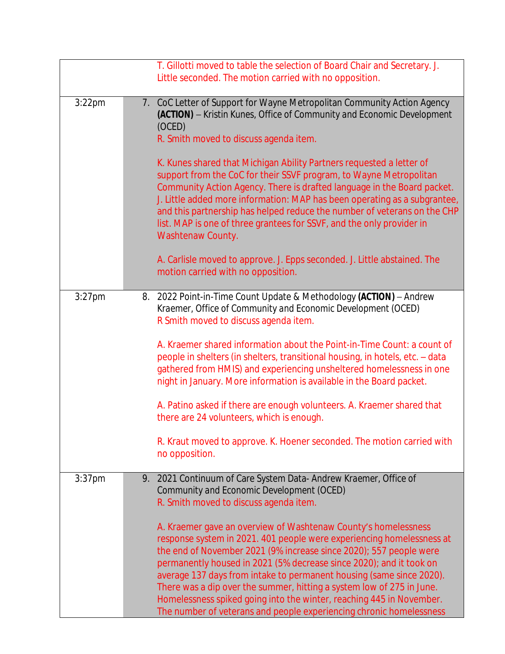|           | T. Gillotti moved to table the selection of Board Chair and Secretary. J.<br>Little seconded. The motion carried with no opposition.                                                                                                                                                                                                                                                                                                                                                                                                                                                                                                                                                                                                                              |
|-----------|-------------------------------------------------------------------------------------------------------------------------------------------------------------------------------------------------------------------------------------------------------------------------------------------------------------------------------------------------------------------------------------------------------------------------------------------------------------------------------------------------------------------------------------------------------------------------------------------------------------------------------------------------------------------------------------------------------------------------------------------------------------------|
| $3:22$ pm | 7. CoC Letter of Support for Wayne Metropolitan Community Action Agency<br>(ACTION) - Kristin Kunes, Office of Community and Economic Development<br>(OCED)<br>R. Smith moved to discuss agenda item.<br>K. Kunes shared that Michigan Ability Partners requested a letter of<br>support from the CoC for their SSVF program, to Wayne Metropolitan<br>Community Action Agency. There is drafted language in the Board packet.<br>J. Little added more information: MAP has been operating as a subgrantee,<br>and this partnership has helped reduce the number of veterans on the CHP<br>list. MAP is one of three grantees for SSVF, and the only provider in<br>Washtenaw County.<br>A. Carlisle moved to approve. J. Epps seconded. J. Little abstained. The |
|           | motion carried with no opposition.                                                                                                                                                                                                                                                                                                                                                                                                                                                                                                                                                                                                                                                                                                                                |
| $3:27$ pm | 8. 2022 Point-in-Time Count Update & Methodology (ACTION) - Andrew<br>Kraemer, Office of Community and Economic Development (OCED)<br>R Smith moved to discuss agenda item.<br>A. Kraemer shared information about the Point-in-Time Count: a count of<br>people in shelters (in shelters, transitional housing, in hotels, etc. - data<br>gathered from HMIS) and experiencing unsheltered homelessness in one<br>night in January. More information is available in the Board packet.<br>A. Patino asked if there are enough volunteers. A. Kraemer shared that<br>there are 24 volunteers, which is enough.<br>R. Kraut moved to approve. K. Hoener seconded. The motion carried with<br>no opposition.                                                        |
| $3:37$ pm | 2021 Continuum of Care System Data- Andrew Kraemer, Office of<br>9.<br>Community and Economic Development (OCED)<br>R. Smith moved to discuss agenda item.<br>A. Kraemer gave an overview of Washtenaw County's homelessness<br>response system in 2021. 401 people were experiencing homelessness at<br>the end of November 2021 (9% increase since 2020); 557 people were<br>permanently housed in 2021 (5% decrease since 2020); and it took on<br>average 137 days from intake to permanent housing (same since 2020).<br>There was a dip over the summer, hitting a system low of 275 in June.<br>Homelessness spiked going into the winter, reaching 445 in November.<br>The number of veterans and people experiencing chronic homelessness                |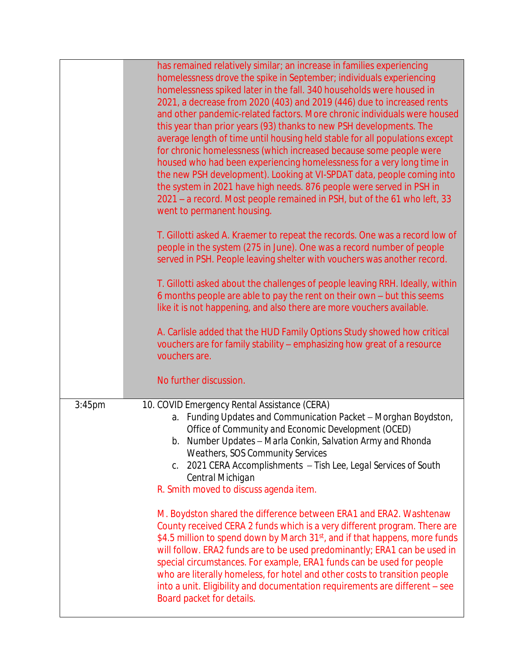|        | has remained relatively similar; an increase in families experiencing<br>homelessness drove the spike in September; individuals experiencing<br>homelessness spiked later in the fall. 340 households were housed in<br>2021, a decrease from 2020 (403) and 2019 (446) due to increased rents<br>and other pandemic-related factors. More chronic individuals were housed<br>this year than prior years (93) thanks to new PSH developments. The<br>average length of time until housing held stable for all populations except<br>for chronic homelessness (which increased because some people were<br>housed who had been experiencing homelessness for a very long time in<br>the new PSH development). Looking at VI-SPDAT data, people coming into<br>the system in 2021 have high needs. 876 people were served in PSH in<br>2021 – a record. Most people remained in PSH, but of the 61 who left, 33<br>went to permanent housing.<br>T. Gillotti asked A. Kraemer to repeat the records. One was a record low of<br>people in the system (275 in June). One was a record number of people<br>served in PSH. People leaving shelter with vouchers was another record. |
|--------|--------------------------------------------------------------------------------------------------------------------------------------------------------------------------------------------------------------------------------------------------------------------------------------------------------------------------------------------------------------------------------------------------------------------------------------------------------------------------------------------------------------------------------------------------------------------------------------------------------------------------------------------------------------------------------------------------------------------------------------------------------------------------------------------------------------------------------------------------------------------------------------------------------------------------------------------------------------------------------------------------------------------------------------------------------------------------------------------------------------------------------------------------------------------------------|
|        | T. Gillotti asked about the challenges of people leaving RRH. Ideally, within<br>6 months people are able to pay the rent on their own - but this seems<br>like it is not happening, and also there are more vouchers available.<br>A. Carlisle added that the HUD Family Options Study showed how critical<br>vouchers are for family stability - emphasizing how great of a resource<br>vouchers are.<br>No further discussion.                                                                                                                                                                                                                                                                                                                                                                                                                                                                                                                                                                                                                                                                                                                                              |
| 3:45pm | 10. COVID Emergency Rental Assistance (CERA)<br>a. Funding Updates and Communication Packet - Morghan Boydston,<br>Office of Community and Economic Development (OCED)<br>b. Number Updates - Marla Conkin, Salvation Army and Rhonda<br><b>Weathers, SOS Community Services</b><br>2021 CERA Accomplishments - Tish Lee, Legal Services of South<br>C.<br>Central Michigan<br>R. Smith moved to discuss agenda item.                                                                                                                                                                                                                                                                                                                                                                                                                                                                                                                                                                                                                                                                                                                                                          |
|        | M. Boydston shared the difference between ERA1 and ERA2. Washtenaw<br>County received CERA 2 funds which is a very different program. There are<br>\$4.5 million to spend down by March 31 <sup>st</sup> , and if that happens, more funds<br>will follow. ERA2 funds are to be used predominantly; ERA1 can be used in<br>special circumstances. For example, ERA1 funds can be used for people<br>who are literally homeless, for hotel and other costs to transition people<br>into a unit. Eligibility and documentation requirements are different - see<br>Board packet for details.                                                                                                                                                                                                                                                                                                                                                                                                                                                                                                                                                                                     |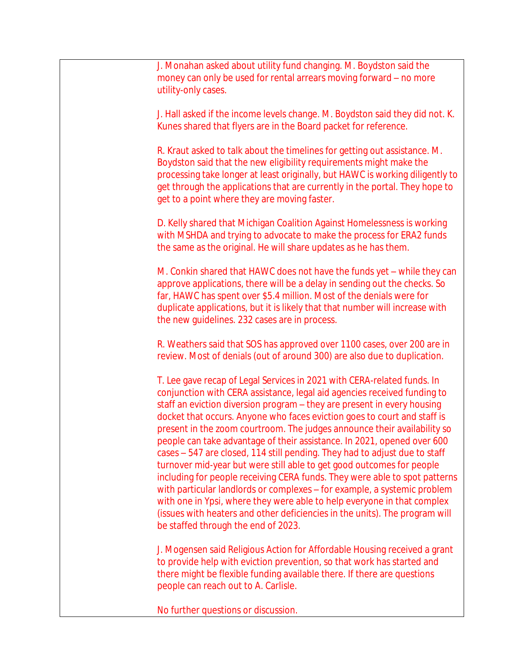J. Monahan asked about utility fund changing. M. Boydston said the money can only be used for rental arrears moving forward – no more utility-only cases.

J. Hall asked if the income levels change. M. Boydston said they did not. K. Kunes shared that flyers are in the Board packet for reference.

R. Kraut asked to talk about the timelines for getting out assistance. M. Boydston said that the new eligibility requirements might make the processing take longer at least originally, but HAWC is working diligently to get through the applications that are currently in the portal. They hope to get to a point where they are moving faster.

D. Kelly shared that Michigan Coalition Against Homelessness is working with MSHDA and trying to advocate to make the process for ERA2 funds the same as the original. He will share updates as he has them.

M. Conkin shared that HAWC does not have the funds yet – while they can approve applications, there will be a delay in sending out the checks. So far, HAWC has spent over \$5.4 million. Most of the denials were for duplicate applications, but it is likely that that number will increase with the new guidelines. 232 cases are in process.

R. Weathers said that SOS has approved over 1100 cases, over 200 are in review. Most of denials (out of around 300) are also due to duplication.

T. Lee gave recap of Legal Services in 2021 with CERA-related funds. In conjunction with CERA assistance, legal aid agencies received funding to staff an eviction diversion program – they are present in every housing docket that occurs. Anyone who faces eviction goes to court and staff is present in the zoom courtroom. The judges announce their availability so people can take advantage of their assistance. In 2021, opened over 600 cases – 547 are closed, 114 still pending. They had to adjust due to staff turnover mid-year but were still able to get good outcomes for people including for people receiving CERA funds. They were able to spot patterns with particular landlords or complexes – for example, a systemic problem with one in Ypsi, where they were able to help everyone in that complex (issues with heaters and other deficiencies in the units). The program will be staffed through the end of 2023.

J. Mogensen said Religious Action for Affordable Housing received a grant to provide help with eviction prevention, so that work has started and there might be flexible funding available there. If there are questions people can reach out to A. Carlisle.

No further questions or discussion.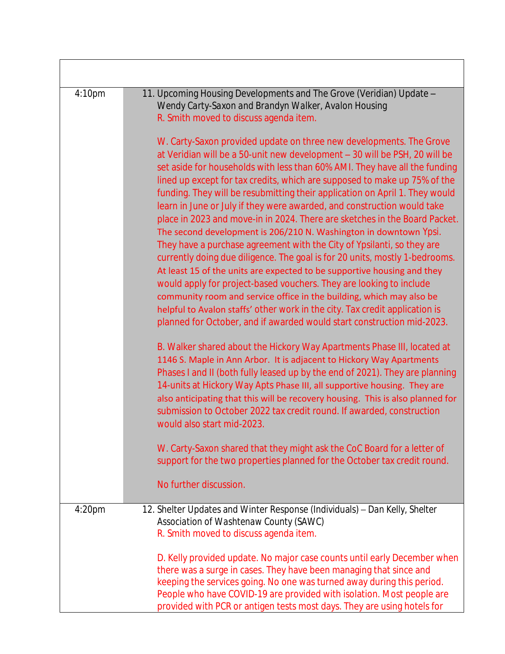| 4:10pm             | 11. Upcoming Housing Developments and The Grove (Veridian) Update -<br>Wendy Carty-Saxon and Brandyn Walker, Avalon Housing<br>R. Smith moved to discuss agenda item.<br>W. Carty-Saxon provided update on three new developments. The Grove<br>at Veridian will be a 50-unit new development - 30 will be PSH, 20 will be<br>set aside for households with less than 60% AMI. They have all the funding<br>lined up except for tax credits, which are supposed to make up 75% of the<br>funding. They will be resubmitting their application on April 1. They would<br>learn in June or July if they were awarded, and construction would take<br>place in 2023 and move-in in 2024. There are sketches in the Board Packet.<br>The second development is 206/210 N. Washington in downtown Ypsi.<br>They have a purchase agreement with the City of Ypsilanti, so they are<br>currently doing due diligence. The goal is for 20 units, mostly 1-bedrooms.<br>At least 15 of the units are expected to be supportive housing and they<br>would apply for project-based vouchers. They are looking to include<br>community room and service office in the building, which may also be<br>helpful to Avalon staffs' other work in the city. Tax credit application is<br>planned for October, and if awarded would start construction mid-2023.<br>B. Walker shared about the Hickory Way Apartments Phase III, located at |
|--------------------|---------------------------------------------------------------------------------------------------------------------------------------------------------------------------------------------------------------------------------------------------------------------------------------------------------------------------------------------------------------------------------------------------------------------------------------------------------------------------------------------------------------------------------------------------------------------------------------------------------------------------------------------------------------------------------------------------------------------------------------------------------------------------------------------------------------------------------------------------------------------------------------------------------------------------------------------------------------------------------------------------------------------------------------------------------------------------------------------------------------------------------------------------------------------------------------------------------------------------------------------------------------------------------------------------------------------------------------------------------------------------------------------------------------------------|
|                    | 1146 S. Maple in Ann Arbor. It is adjacent to Hickory Way Apartments<br>Phases I and II (both fully leased up by the end of 2021). They are planning<br>14-units at Hickory Way Apts Phase III, all supportive housing. They are<br>also anticipating that this will be recovery housing. This is also planned for<br>submission to October 2022 tax credit round. If awarded, construction<br>would also start mid-2023.<br>W. Carty-Saxon shared that they might ask the CoC Board for a letter of                                                                                                                                                                                                                                                                                                                                                                                                                                                                                                                                                                                                                                                                                                                                                                                                                                                                                                                      |
|                    | support for the two properties planned for the October tax credit round.                                                                                                                                                                                                                                                                                                                                                                                                                                                                                                                                                                                                                                                                                                                                                                                                                                                                                                                                                                                                                                                                                                                                                                                                                                                                                                                                                  |
|                    | No further discussion.                                                                                                                                                                                                                                                                                                                                                                                                                                                                                                                                                                                                                                                                                                                                                                                                                                                                                                                                                                                                                                                                                                                                                                                                                                                                                                                                                                                                    |
| 4:20 <sub>pm</sub> | 12. Shelter Updates and Winter Response (Individuals) - Dan Kelly, Shelter<br>Association of Washtenaw County (SAWC)<br>R. Smith moved to discuss agenda item.                                                                                                                                                                                                                                                                                                                                                                                                                                                                                                                                                                                                                                                                                                                                                                                                                                                                                                                                                                                                                                                                                                                                                                                                                                                            |
|                    | D. Kelly provided update. No major case counts until early December when<br>there was a surge in cases. They have been managing that since and<br>keeping the services going. No one was turned away during this period.<br>People who have COVID-19 are provided with isolation. Most people are<br>provided with PCR or antigen tests most days. They are using hotels for                                                                                                                                                                                                                                                                                                                                                                                                                                                                                                                                                                                                                                                                                                                                                                                                                                                                                                                                                                                                                                              |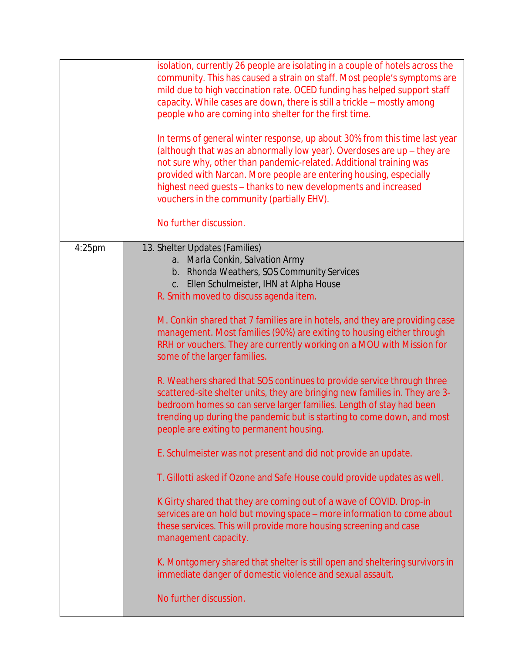|           | isolation, currently 26 people are isolating in a couple of hotels across the<br>community. This has caused a strain on staff. Most people's symptoms are<br>mild due to high vaccination rate. OCED funding has helped support staff<br>capacity. While cases are down, there is still a trickle - mostly among<br>people who are coming into shelter for the first time.                                        |
|-----------|-------------------------------------------------------------------------------------------------------------------------------------------------------------------------------------------------------------------------------------------------------------------------------------------------------------------------------------------------------------------------------------------------------------------|
|           | In terms of general winter response, up about 30% from this time last year<br>(although that was an abnormally low year). Overdoses are up - they are<br>not sure why, other than pandemic-related. Additional training was<br>provided with Narcan. More people are entering housing, especially<br>highest need guests - thanks to new developments and increased<br>vouchers in the community (partially EHV). |
|           | No further discussion.                                                                                                                                                                                                                                                                                                                                                                                            |
| $4:25$ pm | 13. Shelter Updates (Families)<br>a. Marla Conkin, Salvation Army<br>b. Rhonda Weathers, SOS Community Services<br>c. Ellen Schulmeister, IHN at Alpha House<br>R. Smith moved to discuss agenda item.                                                                                                                                                                                                            |
|           | M. Conkin shared that 7 families are in hotels, and they are providing case<br>management. Most families (90%) are exiting to housing either through<br>RRH or vouchers. They are currently working on a MOU with Mission for<br>some of the larger families.                                                                                                                                                     |
|           | R. Weathers shared that SOS continues to provide service through three<br>scattered-site shelter units, they are bringing new families in. They are 3-<br>bedroom homes so can serve larger families. Length of stay had been<br>trending up during the pandemic but is starting to come down, and most<br>people are exiting to permanent housing.                                                               |
|           | E. Schulmeister was not present and did not provide an update.                                                                                                                                                                                                                                                                                                                                                    |
|           | T. Gillotti asked if Ozone and Safe House could provide updates as well.                                                                                                                                                                                                                                                                                                                                          |
|           | K Girty shared that they are coming out of a wave of COVID. Drop-in<br>services are on hold but moving space - more information to come about<br>these services. This will provide more housing screening and case<br>management capacity.                                                                                                                                                                        |
|           | K. Montgomery shared that shelter is still open and sheltering survivors in<br>immediate danger of domestic violence and sexual assault.                                                                                                                                                                                                                                                                          |
|           | No further discussion.                                                                                                                                                                                                                                                                                                                                                                                            |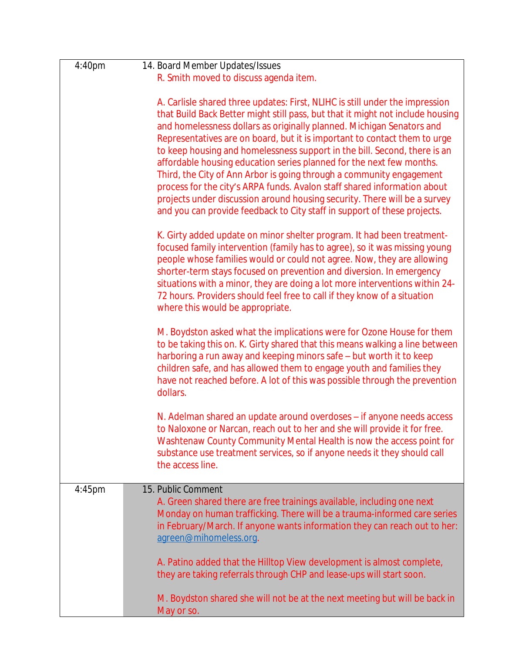| 4:40pm    | 14. Board Member Updates/Issues                                                                                                                                                                                                                                                                                                                                                                                                                                                                                                                                                                                                                                                                                                                                                        |
|-----------|----------------------------------------------------------------------------------------------------------------------------------------------------------------------------------------------------------------------------------------------------------------------------------------------------------------------------------------------------------------------------------------------------------------------------------------------------------------------------------------------------------------------------------------------------------------------------------------------------------------------------------------------------------------------------------------------------------------------------------------------------------------------------------------|
|           | R. Smith moved to discuss agenda item.                                                                                                                                                                                                                                                                                                                                                                                                                                                                                                                                                                                                                                                                                                                                                 |
|           | A. Carlisle shared three updates: First, NLIHC is still under the impression<br>that Build Back Better might still pass, but that it might not include housing<br>and homelessness dollars as originally planned. Michigan Senators and<br>Representatives are on board, but it is important to contact them to urge<br>to keep housing and homelessness support in the bill. Second, there is an<br>affordable housing education series planned for the next few months.<br>Third, the City of Ann Arbor is going through a community engagement<br>process for the city's ARPA funds. Avalon staff shared information about<br>projects under discussion around housing security. There will be a survey<br>and you can provide feedback to City staff in support of these projects. |
|           | K. Girty added update on minor shelter program. It had been treatment-<br>focused family intervention (family has to agree), so it was missing young<br>people whose families would or could not agree. Now, they are allowing<br>shorter-term stays focused on prevention and diversion. In emergency<br>situations with a minor, they are doing a lot more interventions within 24-<br>72 hours. Providers should feel free to call if they know of a situation<br>where this would be appropriate.                                                                                                                                                                                                                                                                                  |
|           | M. Boydston asked what the implications were for Ozone House for them<br>to be taking this on. K. Girty shared that this means walking a line between<br>harboring a run away and keeping minors safe - but worth it to keep<br>children safe, and has allowed them to engage youth and families they<br>have not reached before. A lot of this was possible through the prevention<br>dollars.                                                                                                                                                                                                                                                                                                                                                                                        |
|           | N. Adelman shared an update around overdoses - if anyone needs access<br>to Naloxone or Narcan, reach out to her and she will provide it for free<br>Washtenaw County Community Mental Health is now the access point for<br>substance use treatment services, so if anyone needs it they should call<br>the access line.                                                                                                                                                                                                                                                                                                                                                                                                                                                              |
| $4:45$ pm | 15. Public Comment                                                                                                                                                                                                                                                                                                                                                                                                                                                                                                                                                                                                                                                                                                                                                                     |
|           | A. Green shared there are free trainings available, including one next<br>Monday on human trafficking. There will be a trauma-informed care series<br>in February/March. If anyone wants information they can reach out to her:<br>agreen@mihomeless.org.                                                                                                                                                                                                                                                                                                                                                                                                                                                                                                                              |
|           | A. Patino added that the Hilltop View development is almost complete,<br>they are taking referrals through CHP and lease-ups will start soon.                                                                                                                                                                                                                                                                                                                                                                                                                                                                                                                                                                                                                                          |
|           | M. Boydston shared she will not be at the next meeting but will be back in<br>May or so.                                                                                                                                                                                                                                                                                                                                                                                                                                                                                                                                                                                                                                                                                               |